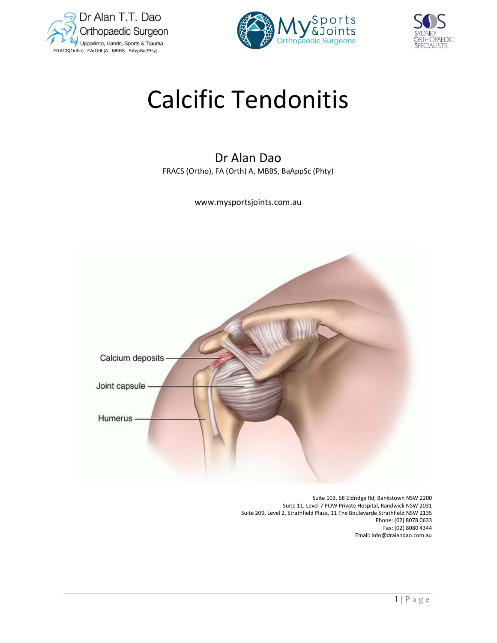





# Calcific Tendonitis

# Dr Alan Dao FRACS (Ortho), FA (Orth) A, MBBS, BaAppSc (Phty)

www.mysportsjoints.com.au



 Suite 103, 68 Eldridge Rd, Bankstown NSW 2200 Suite 11, Level 7 POW Private Hospital, Randwick NSW 2031 Suite 209, Level 2, Strathfield Plaza, 11 The Boulevarde Strathfield NSW 2135 Phone: (02) 8078 0633 Fax: (02) 8080 4344 Email: info@dralandao.com.au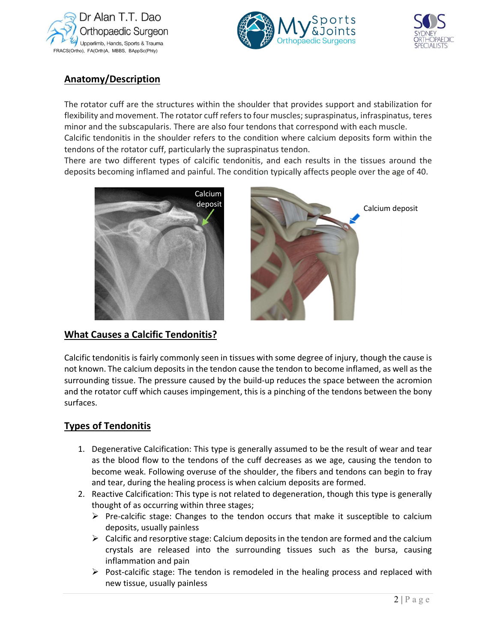





# Anatomy/Description

The rotator cuff are the structures within the shoulder that provides support and stabilization for flexibility and movement. The rotator cuff refers to four muscles; supraspinatus, infraspinatus, teres minor and the subscapularis. There are also four tendons that correspond with each muscle. Calcific tendonitis in the shoulder refers to the condition where calcium deposits form within the tendons of the rotator cuff, particularly the supraspinatus tendon.

There are two different types of calcific tendonitis, and each results in the tissues around the deposits becoming inflamed and painful. The condition typically affects people over the age of 40.



What Causes a Calcific Tendonitis?



Calcium deposit

Calcific tendonitis is fairly commonly seen in tissues with some degree of injury, though the cause is not known. The calcium deposits in the tendon cause the tendon to become inflamed, as well as the surrounding tissue. The pressure caused by the build-up reduces the space between the acromion and the rotator cuff which causes impingement, this is a pinching of the tendons between the bony surfaces.

## Types of Tendonitis

- The bony<br>
In the bony<br>
Extends to fray<br>
Extends to fray<br>
Extends the calcium<br>
Extends the calcium<br>
Extends the calcium<br>
Extends the calcium<br>  $\frac{1}{2 | P a g e}$ 1. Degenerative Calcification: This type is generally assumed to be the result of wear and tear as the blood flow to the tendons of the cuff decreases as we age, causing the tendon to become weak. Following overuse of the shoulder, the fibers and tendons can begin to fray and tear, during the healing process is when calcium deposits are formed.
- 2. Reactive Calcification: This type is not related to degeneration, though this type is generally thought of as occurring within three stages;
	- $\triangleright$  Pre-calcific stage: Changes to the tendon occurs that make it susceptible to calcium deposits, usually painless
	- $\triangleright$  Calcific and resorptive stage: Calcium deposits in the tendon are formed and the calcium crystals are released into the surrounding tissues such as the bursa, causing inflammation and pain
	- $\triangleright$  Post-calcific stage: The tendon is remodeled in the healing process and replaced with new tissue, usually painless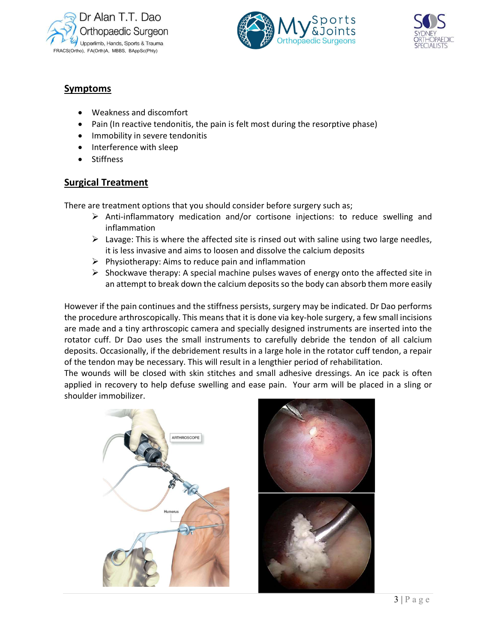





## Symptoms

- Weakness and discomfort
- Pain (In reactive tendonitis, the pain is felt most during the resorptive phase)
- Immobility in severe tendonitis
- Interference with sleep
- **Stiffness**

### Surgical Treatment

There are treatment options that you should consider before surgery such as;

- $\triangleright$  Anti-inflammatory medication and/or cortisone injections: to reduce swelling and inflammation
- $\triangleright$  Lavage: This is where the affected site is rinsed out with saline using two large needles, it is less invasive and aims to loosen and dissolve the calcium deposits
- $\triangleright$  Physiotherapy: Aims to reduce pain and inflammation
- $\triangleright$  Shockwave therapy: A special machine pulses waves of energy onto the affected site in an attempt to break down the calcium deposits so the body can absorb them more easily

However if the pain continues and the stiffness persists, surgery may be indicated. Dr Dao performs the procedure arthroscopically. This means that it is done via key-hole surgery, a few small incisions are made and a tiny arthroscopic camera and specially designed instruments are inserted into the rotator cuff. Dr Dao uses the small instruments to carefully debride the tendon of all calcium deposits. Occasionally, if the debridement results in a large hole in the rotator cuff tendon, a repair of the tendon may be necessary. This will result in a lengthier period of rehabilitation.

3 | P a g e The wounds will be closed with skin stitches and small adhesive dressings. An ice pack is often applied in recovery to help defuse swelling and ease pain. Your arm will be placed in a sling or shoulder immobilizer.